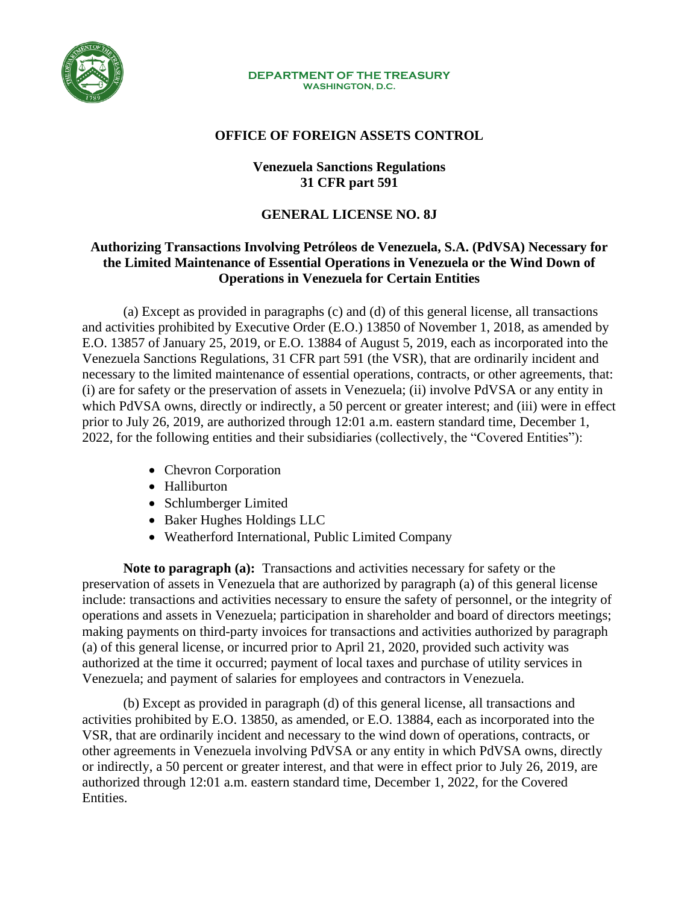

#### **DEPARTMENT OF THE TREASURY WASHINGTON, D.C.**

#### **OFFICE OF FOREIGN ASSETS CONTROL**

### **Venezuela Sanctions Regulations 31 CFR part 591**

## **GENERAL LICENSE NO. 8J**

# **Authorizing Transactions Involving Petróleos de Venezuela, S.A. (PdVSA) Necessary for the Limited Maintenance of Essential Operations in Venezuela or the Wind Down of Operations in Venezuela for Certain Entities**

(a) Except as provided in paragraphs (c) and (d) of this general license, all transactions and activities prohibited by Executive Order (E.O.) 13850 of November 1, 2018, as amended by E.O. 13857 of January 25, 2019, or E.O. 13884 of August 5, 2019, each as incorporated into the Venezuela Sanctions Regulations, 31 CFR part 591 (the VSR), that are ordinarily incident and necessary to the limited maintenance of essential operations, contracts, or other agreements, that: (i) are for safety or the preservation of assets in Venezuela; (ii) involve PdVSA or any entity in which PdVSA owns, directly or indirectly, a 50 percent or greater interest; and (iii) were in effect prior to July 26, 2019, are authorized through 12:01 a.m. eastern standard time, December 1, 2022, for the following entities and their subsidiaries (collectively, the "Covered Entities"):

- Chevron Corporation
- Halliburton
- Schlumberger Limited
- Baker Hughes Holdings LLC
- Weatherford International, Public Limited Company

**Note to paragraph (a):** Transactions and activities necessary for safety or the preservation of assets in Venezuela that are authorized by paragraph (a) of this general license include: transactions and activities necessary to ensure the safety of personnel, or the integrity of operations and assets in Venezuela; participation in shareholder and board of directors meetings; making payments on third-party invoices for transactions and activities authorized by paragraph (a) of this general license, or incurred prior to April 21, 2020, provided such activity was authorized at the time it occurred; payment of local taxes and purchase of utility services in Venezuela; and payment of salaries for employees and contractors in Venezuela.

(b) Except as provided in paragraph (d) of this general license, all transactions and activities prohibited by E.O. 13850, as amended, or E.O. 13884, each as incorporated into the VSR, that are ordinarily incident and necessary to the wind down of operations, contracts, or other agreements in Venezuela involving PdVSA or any entity in which PdVSA owns, directly or indirectly, a 50 percent or greater interest, and that were in effect prior to July 26, 2019, are authorized through 12:01 a.m. eastern standard time, December 1, 2022, for the Covered Entities.